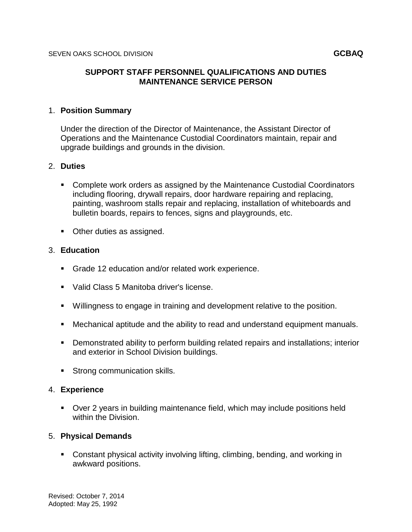## **SUPPORT STAFF PERSONNEL QUALIFICATIONS AND DUTIES MAINTENANCE SERVICE PERSON**

#### 1. **Position Summary**

Under the direction of the Director of Maintenance, the Assistant Director of Operations and the Maintenance Custodial Coordinators maintain, repair and upgrade buildings and grounds in the division.

### 2. **Duties**

- Complete work orders as assigned by the Maintenance Custodial Coordinators including flooring, drywall repairs, door hardware repairing and replacing, painting, washroom stalls repair and replacing, installation of whiteboards and bulletin boards, repairs to fences, signs and playgrounds, etc.
- **Other duties as assigned.**

#### 3. **Education**

- Grade 12 education and/or related work experience.
- Valid Class 5 Manitoba driver's license.
- Willingness to engage in training and development relative to the position.
- Mechanical aptitude and the ability to read and understand equipment manuals.
- Demonstrated ability to perform building related repairs and installations; interior and exterior in School Division buildings.
- **Strong communication skills.**

#### 4. **Experience**

 Over 2 years in building maintenance field, which may include positions held within the Division.

#### 5. **Physical Demands**

 Constant physical activity involving lifting, climbing, bending, and working in awkward positions.